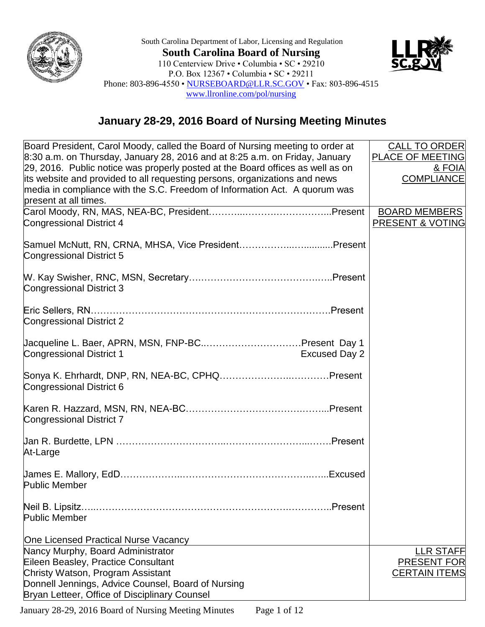

South Carolina Department of Labor, Licensing and Regulation **South Carolina Board of Nursing** 110 Centerview Drive • Columbia • SC • 29210 P.O. Box 12367 • Columbia • SC • 29211 Phone: 803-896-4550 • [NURSEBOARD@LLR.SC.GOV](mailto:NURSEBOARD@LLR.SC.GOV) • Fax: 803-896-4515 [www.llronline.com/pol/nursing](http://www.llronline.com/pol/nursing)



## **January 28-29, 2016 Board of Nursing Meeting Minutes**

| Board President, Carol Moody, called the Board of Nursing meeting to order at<br>$8:30$ a.m. on Thursday, January 28, 2016 and at 8:25 a.m. on Friday, January<br>29, 2016. Public notice was properly posted at the Board offices as well as on<br>its website and provided to all requesting persons, organizations and news<br>media in compliance with the S.C. Freedom of Information Act. A quorum was<br>present at all times. | <b>CALL TO ORDER</b><br><b>PLACE OF MEETING</b><br><u>&amp; FOIA</u><br><b>COMPLIANCE</b> |
|---------------------------------------------------------------------------------------------------------------------------------------------------------------------------------------------------------------------------------------------------------------------------------------------------------------------------------------------------------------------------------------------------------------------------------------|-------------------------------------------------------------------------------------------|
| Congressional District 4                                                                                                                                                                                                                                                                                                                                                                                                              | <b>BOARD MEMBERS</b><br><b>PRESENT &amp; VOTING</b>                                       |
| Samuel McNutt, RN, CRNA, MHSA, Vice PresidentPresent<br>Congressional District 5                                                                                                                                                                                                                                                                                                                                                      |                                                                                           |
| Congressional District 3                                                                                                                                                                                                                                                                                                                                                                                                              |                                                                                           |
| Congressional District 2                                                                                                                                                                                                                                                                                                                                                                                                              |                                                                                           |
| <b>Congressional District 1</b><br><b>Excused Day 2</b>                                                                                                                                                                                                                                                                                                                                                                               |                                                                                           |
| Congressional District 6                                                                                                                                                                                                                                                                                                                                                                                                              |                                                                                           |
| Congressional District 7                                                                                                                                                                                                                                                                                                                                                                                                              |                                                                                           |
| At-Large                                                                                                                                                                                                                                                                                                                                                                                                                              |                                                                                           |
| <b>Public Member</b>                                                                                                                                                                                                                                                                                                                                                                                                                  |                                                                                           |
| Neil B. Lipsitz.<br>.Present<br><b>Public Member</b>                                                                                                                                                                                                                                                                                                                                                                                  |                                                                                           |
| One Licensed Practical Nurse Vacancy                                                                                                                                                                                                                                                                                                                                                                                                  |                                                                                           |
| Nancy Murphy, Board Administrator                                                                                                                                                                                                                                                                                                                                                                                                     | <b>LLR STAFF</b>                                                                          |
| Eileen Beasley, Practice Consultant                                                                                                                                                                                                                                                                                                                                                                                                   | <b>PRESENT FOR</b>                                                                        |
| Christy Watson, Program Assistant                                                                                                                                                                                                                                                                                                                                                                                                     | <b>CERTAIN ITEMS</b>                                                                      |
| Donnell Jennings, Advice Counsel, Board of Nursing                                                                                                                                                                                                                                                                                                                                                                                    |                                                                                           |
| Bryan Letteer, Office of Disciplinary Counsel                                                                                                                                                                                                                                                                                                                                                                                         |                                                                                           |

January 28-29, 2016 Board of Nursing Meeting Minutes Page 1 of 12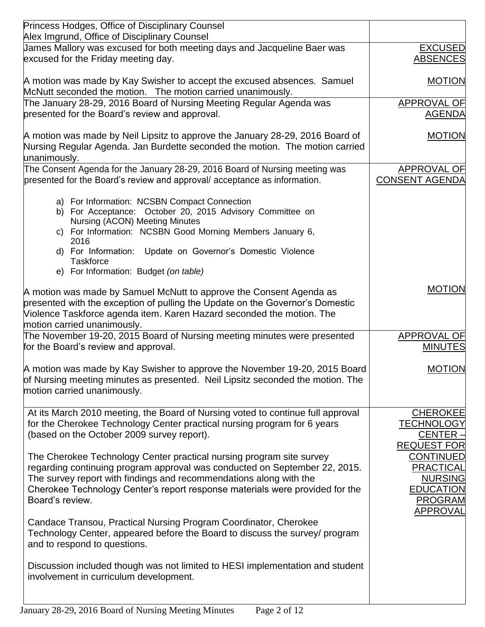| Princess Hodges, Office of Disciplinary Counsel                                                                                                                                                                                                                                                                                                                 |                                                                                                                       |
|-----------------------------------------------------------------------------------------------------------------------------------------------------------------------------------------------------------------------------------------------------------------------------------------------------------------------------------------------------------------|-----------------------------------------------------------------------------------------------------------------------|
| Alex Imgrund, Office of Disciplinary Counsel                                                                                                                                                                                                                                                                                                                    |                                                                                                                       |
| James Mallory was excused for both meeting days and Jacqueline Baer was<br>excused for the Friday meeting day.                                                                                                                                                                                                                                                  | <b>EXCUSED</b><br><b>ABSENCES</b>                                                                                     |
| A motion was made by Kay Swisher to accept the excused absences. Samuel<br>McNutt seconded the motion. The motion carried unanimously.                                                                                                                                                                                                                          | <b>MOTION</b>                                                                                                         |
| The January 28-29, 2016 Board of Nursing Meeting Regular Agenda was<br>presented for the Board's review and approval.                                                                                                                                                                                                                                           | APPROVAL OF<br><b>AGENDA</b>                                                                                          |
| A motion was made by Neil Lipsitz to approve the January 28-29, 2016 Board of<br>Nursing Regular Agenda. Jan Burdette seconded the motion. The motion carried<br>unanimously.                                                                                                                                                                                   | <b>MOTION</b>                                                                                                         |
| The Consent Agenda for the January 28-29, 2016 Board of Nursing meeting was<br>presented for the Board's review and approval/acceptance as information.                                                                                                                                                                                                         | APPROVAL OF<br><b>CONSENT AGENDA</b>                                                                                  |
| a) For Information: NCSBN Compact Connection<br>b) For Acceptance: October 20, 2015 Advisory Committee on<br>Nursing (ACON) Meeting Minutes<br>c) For Information: NCSBN Good Morning Members January 6,                                                                                                                                                        |                                                                                                                       |
| 2016<br>Update on Governor's Domestic Violence<br>d) For Information:<br><b>Taskforce</b>                                                                                                                                                                                                                                                                       |                                                                                                                       |
| e) For Information: Budget (on table)<br>A motion was made by Samuel McNutt to approve the Consent Agenda as<br>presented with the exception of pulling the Update on the Governor's Domestic<br>Violence Taskforce agenda item. Karen Hazard seconded the motion. The<br>motion carried unanimously.                                                           | <b>MOTION</b>                                                                                                         |
| The November 19-20, 2015 Board of Nursing meeting minutes were presented<br>for the Board's review and approval.                                                                                                                                                                                                                                                | APPROVAL OF<br><b>MINUTES</b>                                                                                         |
| A motion was made by Kay Swisher to approve the November 19-20, 2015 Board<br>of Nursing meeting minutes as presented. Neil Lipsitz seconded the motion. The<br>motion carried unanimously.                                                                                                                                                                     | <b>MOTION</b>                                                                                                         |
| At its March 2010 meeting, the Board of Nursing voted to continue full approval<br>for the Cherokee Technology Center practical nursing program for 6 years<br>(based on the October 2009 survey report).<br>The Cherokee Technology Center practical nursing program site survey<br>regarding continuing program approval was conducted on September 22, 2015. | <b>CHEROKEE</b><br><b>TECHNOLOGY</b><br><b>CENTER -</b><br><b>REQUEST FOR</b><br><b>CONTINUED</b><br><b>PRACTICAL</b> |
| The survey report with findings and recommendations along with the<br>Cherokee Technology Center's report response materials were provided for the<br>Board's review.                                                                                                                                                                                           | <b>NURSING</b><br><b>EDUCATION</b><br><b>PROGRAM</b><br><b>APPROVAL</b>                                               |
| Candace Transou, Practical Nursing Program Coordinator, Cherokee<br>Technology Center, appeared before the Board to discuss the survey/ program<br>and to respond to questions.                                                                                                                                                                                 |                                                                                                                       |
| Discussion included though was not limited to HESI implementation and student<br>involvement in curriculum development.                                                                                                                                                                                                                                         |                                                                                                                       |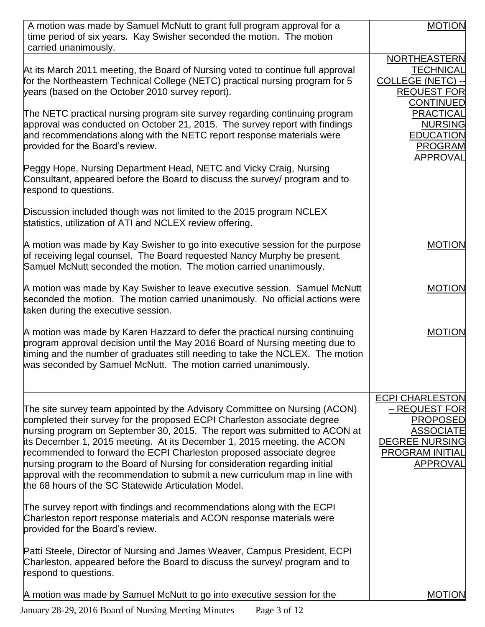| A motion was made by Samuel McNutt to grant full program approval for a<br>time period of six years. Kay Swisher seconded the motion. The motion<br>carried unanimously.                                                                                                                                                                                                                                                                                                                                                                                                                                       | <b>MOTION</b>                                                                                                                                 |
|----------------------------------------------------------------------------------------------------------------------------------------------------------------------------------------------------------------------------------------------------------------------------------------------------------------------------------------------------------------------------------------------------------------------------------------------------------------------------------------------------------------------------------------------------------------------------------------------------------------|-----------------------------------------------------------------------------------------------------------------------------------------------|
| At its March 2011 meeting, the Board of Nursing voted to continue full approval<br>for the Northeastern Technical College (NETC) practical nursing program for 5<br>years (based on the October 2010 survey report).                                                                                                                                                                                                                                                                                                                                                                                           | NORTHEASTERN<br><b>TECHNICAL</b><br><b>COLLEGE (NETC) -</b><br><b>REQUEST FOR</b><br><b>CONTINUED</b>                                         |
| The NETC practical nursing program site survey regarding continuing program<br>approval was conducted on October 21, 2015. The survey report with findings<br>and recommendations along with the NETC report response materials were<br>provided for the Board's review.                                                                                                                                                                                                                                                                                                                                       | <b>PRACTICAL</b><br><b>NURSING</b><br><b>EDUCATION</b><br><b>PROGRAM</b><br><b>APPROVAL</b>                                                   |
| Peggy Hope, Nursing Department Head, NETC and Vicky Craig, Nursing<br>Consultant, appeared before the Board to discuss the survey/ program and to<br>respond to questions.                                                                                                                                                                                                                                                                                                                                                                                                                                     |                                                                                                                                               |
| Discussion included though was not limited to the 2015 program NCLEX<br>statistics, utilization of ATI and NCLEX review offering.                                                                                                                                                                                                                                                                                                                                                                                                                                                                              |                                                                                                                                               |
| A motion was made by Kay Swisher to go into executive session for the purpose<br>of receiving legal counsel. The Board requested Nancy Murphy be present.<br>Samuel McNutt seconded the motion. The motion carried unanimously.                                                                                                                                                                                                                                                                                                                                                                                | <b>MOTION</b>                                                                                                                                 |
| A motion was made by Kay Swisher to leave executive session. Samuel McNutt<br>seconded the motion. The motion carried unanimously. No official actions were<br>taken during the executive session.                                                                                                                                                                                                                                                                                                                                                                                                             | <b>MOTION</b>                                                                                                                                 |
| A motion was made by Karen Hazzard to defer the practical nursing continuing<br>program approval decision until the May 2016 Board of Nursing meeting due to<br>timing and the number of graduates still needing to take the NCLEX. The motion<br>was seconded by Samuel McNutt. The motion carried unanimously.                                                                                                                                                                                                                                                                                               | <b>MOTION</b>                                                                                                                                 |
| The site survey team appointed by the Advisory Committee on Nursing (ACON)<br>completed their survey for the proposed ECPI Charleston associate degree<br>nursing program on September 30, 2015. The report was submitted to ACON at<br>its December 1, 2015 meeting. At its December 1, 2015 meeting, the ACON<br>recommended to forward the ECPI Charleston proposed associate degree<br>nursing program to the Board of Nursing for consideration regarding initial<br>approval with the recommendation to submit a new curriculum map in line with<br>the 68 hours of the SC Statewide Articulation Model. | <b>ECPI CHARLESTON</b><br>- REQUEST FOR<br><b>PROPOSED</b><br><b>ASSOCIATE</b><br><b>DEGREE NURSING</b><br><b>PROGRAM INITIAL</b><br>APPROVAL |
| The survey report with findings and recommendations along with the ECPI<br>Charleston report response materials and ACON response materials were<br>provided for the Board's review.                                                                                                                                                                                                                                                                                                                                                                                                                           |                                                                                                                                               |
| Patti Steele, Director of Nursing and James Weaver, Campus President, ECPI<br>Charleston, appeared before the Board to discuss the survey/ program and to<br>respond to questions.                                                                                                                                                                                                                                                                                                                                                                                                                             |                                                                                                                                               |
| A motion was made by Samuel McNutt to go into executive session for the                                                                                                                                                                                                                                                                                                                                                                                                                                                                                                                                        | <b>MOTION</b>                                                                                                                                 |

January 28-29, 2016 Board of Nursing Meeting Minutes Page 3 of 12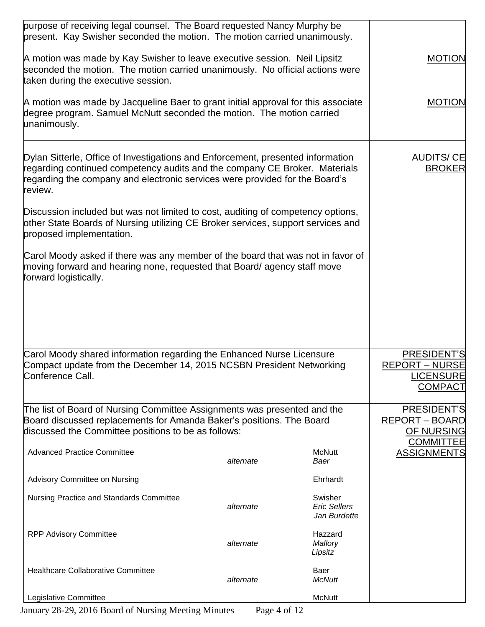| purpose of receiving legal counsel. The Board requested Nancy Murphy be<br>present. Kay Swisher seconded the motion. The motion carried unanimously.                                                                                                    |           |                                                |                                                                            |
|---------------------------------------------------------------------------------------------------------------------------------------------------------------------------------------------------------------------------------------------------------|-----------|------------------------------------------------|----------------------------------------------------------------------------|
| A motion was made by Kay Swisher to leave executive session. Neil Lipsitz<br>seconded the motion. The motion carried unanimously. No official actions were<br>taken during the executive session.                                                       |           |                                                | <b>MOTION</b>                                                              |
| A motion was made by Jacqueline Baer to grant initial approval for this associate<br>degree program. Samuel McNutt seconded the motion. The motion carried<br>unanimously.                                                                              |           |                                                | <b>MOTION</b>                                                              |
| Dylan Sitterle, Office of Investigations and Enforcement, presented information<br>regarding continued competency audits and the company CE Broker. Materials<br>regarding the company and electronic services were provided for the Board's<br>review. |           |                                                | <b>AUDITS/CE</b><br><b>BROKER</b>                                          |
| Discussion included but was not limited to cost, auditing of competency options,<br>other State Boards of Nursing utilizing CE Broker services, support services and<br>proposed implementation.                                                        |           |                                                |                                                                            |
| Carol Moody asked if there was any member of the board that was not in favor of<br>moving forward and hearing none, requested that Board/ agency staff move<br>forward logistically.                                                                    |           |                                                |                                                                            |
|                                                                                                                                                                                                                                                         |           |                                                |                                                                            |
| Carol Moody shared information regarding the Enhanced Nurse Licensure<br>Compact update from the December 14, 2015 NCSBN President Networking<br>Conference Call.                                                                                       |           |                                                | PRESIDENT'S<br><b>REPORT – NURSE</b><br><b>LICENSURE</b><br><b>COMPACT</b> |
| The list of Board of Nursing Committee Assignments was presented and the<br>Board discussed replacements for Amanda Baker's positions. The Board<br>discussed the Committee positions to be as follows:                                                 |           |                                                | PRESIDENT'S<br><b>REPORT - BOARD</b><br>OF NURSING<br><b>COMMITTEE</b>     |
| <b>Advanced Practice Committee</b>                                                                                                                                                                                                                      | alternate | <b>McNutt</b><br>Baer                          | <b>ASSIGNMENTS</b>                                                         |
| Advisory Committee on Nursing                                                                                                                                                                                                                           |           | Ehrhardt                                       |                                                                            |
| Nursing Practice and Standards Committee                                                                                                                                                                                                                | alternate | Swisher<br><b>Eric Sellers</b><br>Jan Burdette |                                                                            |
| <b>RPP Advisory Committee</b>                                                                                                                                                                                                                           | alternate | Hazzard<br>Mallory<br>Lipsitz                  |                                                                            |
| <b>Healthcare Collaborative Committee</b>                                                                                                                                                                                                               | alternate | Baer<br><b>McNutt</b>                          |                                                                            |
| Legislative Committee                                                                                                                                                                                                                                   |           | <b>McNutt</b>                                  |                                                                            |

January 28-29, 2016 Board of Nursing Meeting Minutes Page 4 of 12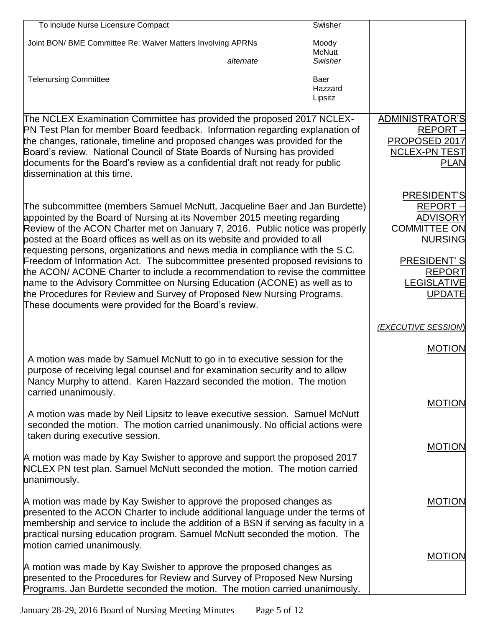| To include Nurse Licensure Compact                                                                                                                                                                                                                                                                                                                                                                                                                                                                                                                                                                                                                                                                                                                                                  | Swisher                    |                                                                                                                                                                          |
|-------------------------------------------------------------------------------------------------------------------------------------------------------------------------------------------------------------------------------------------------------------------------------------------------------------------------------------------------------------------------------------------------------------------------------------------------------------------------------------------------------------------------------------------------------------------------------------------------------------------------------------------------------------------------------------------------------------------------------------------------------------------------------------|----------------------------|--------------------------------------------------------------------------------------------------------------------------------------------------------------------------|
| Joint BON/ BME Committee Re: Waiver Matters Involving APRNs                                                                                                                                                                                                                                                                                                                                                                                                                                                                                                                                                                                                                                                                                                                         | Moody<br><b>McNutt</b>     |                                                                                                                                                                          |
| alternate                                                                                                                                                                                                                                                                                                                                                                                                                                                                                                                                                                                                                                                                                                                                                                           | Swisher                    |                                                                                                                                                                          |
| <b>Telenursing Committee</b>                                                                                                                                                                                                                                                                                                                                                                                                                                                                                                                                                                                                                                                                                                                                                        | Baer<br>Hazzard<br>Lipsitz |                                                                                                                                                                          |
| The NCLEX Examination Committee has provided the proposed 2017 NCLEX-<br>PN Test Plan for member Board feedback. Information regarding explanation of<br>the changes, rationale, timeline and proposed changes was provided for the<br>Board's review. National Council of State Boards of Nursing has provided<br>documents for the Board's review as a confidential draft not ready for public<br>dissemination at this time.                                                                                                                                                                                                                                                                                                                                                     |                            | ADMINISTRATOR'S<br>REPORT-<br>PROPOSED 2017<br><b>NCLEX-PN TEST</b><br><b>PLAN</b>                                                                                       |
| The subcommittee (members Samuel McNutt, Jacqueline Baer and Jan Burdette)<br>appointed by the Board of Nursing at its November 2015 meeting regarding<br>Review of the ACON Charter met on January 7, 2016. Public notice was properly<br>posted at the Board offices as well as on its website and provided to all<br>requesting persons, organizations and news media in compliance with the S.C.<br>Freedom of Information Act. The subcommittee presented proposed revisions to<br>the ACON/ ACONE Charter to include a recommendation to revise the committee<br>name to the Advisory Committee on Nursing Education (ACONE) as well as to<br>the Procedures for Review and Survey of Proposed New Nursing Programs.<br>These documents were provided for the Board's review. |                            | PRESIDENT'S<br><b>REPORT--</b><br><b>ADVISORY</b><br><b>COMMITTEE ON</b><br><b>NURSING</b><br><b>PRESIDENT'S</b><br><b>REPORT</b><br><b>LEGISLATIVE</b><br><b>UPDATE</b> |
|                                                                                                                                                                                                                                                                                                                                                                                                                                                                                                                                                                                                                                                                                                                                                                                     |                            | (EXECUTIVE SESSION)                                                                                                                                                      |
| A motion was made by Samuel McNutt to go in to executive session for the<br>purpose of receiving legal counsel and for examination security and to allow<br>Nancy Murphy to attend. Karen Hazzard seconded the motion. The motion                                                                                                                                                                                                                                                                                                                                                                                                                                                                                                                                                   |                            | <b>MOTION</b>                                                                                                                                                            |
| carried unanimously.<br>A motion was made by Neil Lipsitz to leave executive session. Samuel McNutt<br>seconded the motion. The motion carried unanimously. No official actions were<br>taken during executive session.                                                                                                                                                                                                                                                                                                                                                                                                                                                                                                                                                             |                            | <b>MOTION</b>                                                                                                                                                            |
| A motion was made by Kay Swisher to approve and support the proposed 2017<br>NCLEX PN test plan. Samuel McNutt seconded the motion. The motion carried<br>unanimously.                                                                                                                                                                                                                                                                                                                                                                                                                                                                                                                                                                                                              |                            | <b>MOTION</b>                                                                                                                                                            |
| A motion was made by Kay Swisher to approve the proposed changes as<br>presented to the ACON Charter to include additional language under the terms of<br>membership and service to include the addition of a BSN if serving as faculty in a<br>practical nursing education program. Samuel McNutt seconded the motion. The<br>motion carried unanimously.                                                                                                                                                                                                                                                                                                                                                                                                                          |                            | <b>MOTION</b>                                                                                                                                                            |
| A motion was made by Kay Swisher to approve the proposed changes as<br>presented to the Procedures for Review and Survey of Proposed New Nursing<br>Programs. Jan Burdette seconded the motion. The motion carried unanimously.                                                                                                                                                                                                                                                                                                                                                                                                                                                                                                                                                     |                            | <b>MOTION</b>                                                                                                                                                            |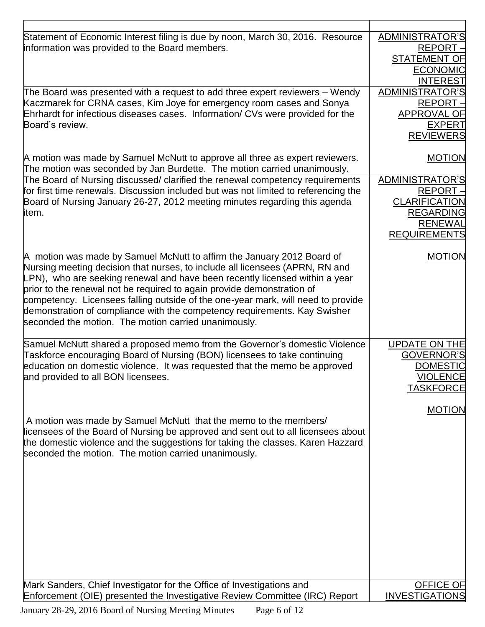| Statement of Economic Interest filing is due by noon, March 30, 2016. Resource<br>information was provided to the Board members.                                                                                                                                                                                                                                                                                                                                                                                                         | ADMINISTRATOR'S<br>REPORT-<br><b>STATEMENT OF</b><br><b>ECONOMIC</b><br><b>INTEREST</b>                         |
|------------------------------------------------------------------------------------------------------------------------------------------------------------------------------------------------------------------------------------------------------------------------------------------------------------------------------------------------------------------------------------------------------------------------------------------------------------------------------------------------------------------------------------------|-----------------------------------------------------------------------------------------------------------------|
| The Board was presented with a request to add three expert reviewers – Wendy<br>Kaczmarek for CRNA cases, Kim Joye for emergency room cases and Sonya<br>Ehrhardt for infectious diseases cases. Information/ CVs were provided for the<br>Board's review.                                                                                                                                                                                                                                                                               | ADMINISTRATOR'S<br>REPORT-<br><b>APPROVAL OF</b><br><b>EXPERT</b><br><b>REVIEWERS</b>                           |
| A motion was made by Samuel McNutt to approve all three as expert reviewers.<br>The motion was seconded by Jan Burdette. The motion carried unanimously.                                                                                                                                                                                                                                                                                                                                                                                 | <b>MOTION</b>                                                                                                   |
| The Board of Nursing discussed/ clarified the renewal competency requirements<br>for first time renewals. Discussion included but was not limited to referencing the<br>Board of Nursing January 26-27, 2012 meeting minutes regarding this agenda<br>item.                                                                                                                                                                                                                                                                              | ADMINISTRATOR'S<br>REPORT-<br><b>CLARIFICATION</b><br><b>REGARDING</b><br><b>RENEWAL</b><br><b>REQUIREMENTS</b> |
| A motion was made by Samuel McNutt to affirm the January 2012 Board of<br>Nursing meeting decision that nurses, to include all licensees (APRN, RN and<br>LPN), who are seeking renewal and have been recently licensed within a year<br>prior to the renewal not be required to again provide demonstration of<br>competency. Licensees falling outside of the one-year mark, will need to provide<br>demonstration of compliance with the competency requirements. Kay Swisher<br>seconded the motion. The motion carried unanimously. | <b>MOTION</b>                                                                                                   |
| Samuel McNutt shared a proposed memo from the Governor's domestic Violence<br>Taskforce encouraging Board of Nursing (BON) licensees to take continuing<br>education on domestic violence. It was requested that the memo be approved<br>and provided to all BON licensees.                                                                                                                                                                                                                                                              | <b>UPDATE ON THE</b><br>GOVERNOR'S<br><b>DOMESTIC</b><br><b>VIOLENCE</b><br><b>TASKFORCE</b>                    |
| A motion was made by Samuel McNutt that the memo to the members/<br>licensees of the Board of Nursing be approved and sent out to all licensees about<br>the domestic violence and the suggestions for taking the classes. Karen Hazzard<br>seconded the motion. The motion carried unanimously.                                                                                                                                                                                                                                         | <b>MOTION</b>                                                                                                   |
| Mark Sanders, Chief Investigator for the Office of Investigations and<br>Enforcement (OIE) presented the Investigative Review Committee (IRC) Report                                                                                                                                                                                                                                                                                                                                                                                     | <b>OFFICE OF</b><br><b>INVESTIGATIONS</b>                                                                       |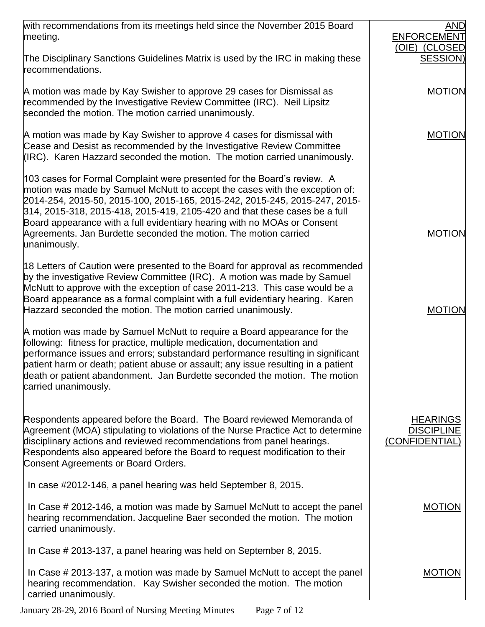| with recommendations from its meetings held since the November 2015 Board                                                                                                                                                                                                                                                                                                                                                                                                          | AND                                                    |
|------------------------------------------------------------------------------------------------------------------------------------------------------------------------------------------------------------------------------------------------------------------------------------------------------------------------------------------------------------------------------------------------------------------------------------------------------------------------------------|--------------------------------------------------------|
| meeting.                                                                                                                                                                                                                                                                                                                                                                                                                                                                           | <b>ENFORCEMENT</b>                                     |
| The Disciplinary Sanctions Guidelines Matrix is used by the IRC in making these<br>recommendations.                                                                                                                                                                                                                                                                                                                                                                                | (OIE) (CLOSED<br><b>SESSION)</b>                       |
| A motion was made by Kay Swisher to approve 29 cases for Dismissal as<br>recommended by the Investigative Review Committee (IRC). Neil Lipsitz<br>seconded the motion. The motion carried unanimously.                                                                                                                                                                                                                                                                             | <b>MOTION</b>                                          |
| A motion was made by Kay Swisher to approve 4 cases for dismissal with<br>Cease and Desist as recommended by the Investigative Review Committee<br>(IRC). Karen Hazzard seconded the motion. The motion carried unanimously.                                                                                                                                                                                                                                                       | <b>MOTION</b>                                          |
| 103 cases for Formal Complaint were presented for the Board's review. A<br>motion was made by Samuel McNutt to accept the cases with the exception of:<br>2014-254, 2015-50, 2015-100, 2015-165, 2015-242, 2015-245, 2015-247, 2015-<br>314, 2015-318, 2015-418, 2015-419, 2105-420 and that these cases be a full<br>Board appearance with a full evidentiary hearing with no MOAs or Consent<br>Agreements. Jan Burdette seconded the motion. The motion carried<br>unanimously. | <b>MOTION</b>                                          |
| 18 Letters of Caution were presented to the Board for approval as recommended<br>by the investigative Review Committee (IRC). A motion was made by Samuel<br>McNutt to approve with the exception of case 2011-213. This case would be a<br>Board appearance as a formal complaint with a full evidentiary hearing. Karen<br>Hazzard seconded the motion. The motion carried unanimously.                                                                                          | <b>MOTION</b>                                          |
| A motion was made by Samuel McNutt to require a Board appearance for the<br>following: fitness for practice, multiple medication, documentation and<br>performance issues and errors; substandard performance resulting in significant<br>patient harm or death; patient abuse or assault; any issue resulting in a patient<br>death or patient abandonment. Jan Burdette seconded the motion. The motion<br>carried unanimously.                                                  |                                                        |
| Respondents appeared before the Board. The Board reviewed Memoranda of<br>Agreement (MOA) stipulating to violations of the Nurse Practice Act to determine<br>disciplinary actions and reviewed recommendations from panel hearings.<br>Respondents also appeared before the Board to request modification to their<br>Consent Agreements or Board Orders.                                                                                                                         | <b>HEARINGS</b><br><b>DISCIPLINE</b><br>(CONFIDENTIAL) |
| In case #2012-146, a panel hearing was held September 8, 2015.                                                                                                                                                                                                                                                                                                                                                                                                                     |                                                        |
| In Case # 2012-146, a motion was made by Samuel McNutt to accept the panel<br>hearing recommendation. Jacqueline Baer seconded the motion. The motion<br>carried unanimously.                                                                                                                                                                                                                                                                                                      | <b>MOTION</b>                                          |
| In Case # 2013-137, a panel hearing was held on September 8, 2015.                                                                                                                                                                                                                                                                                                                                                                                                                 |                                                        |
| In Case # 2013-137, a motion was made by Samuel McNutt to accept the panel<br>hearing recommendation. Kay Swisher seconded the motion. The motion<br>carried unanimously.                                                                                                                                                                                                                                                                                                          | <b>MOTION</b>                                          |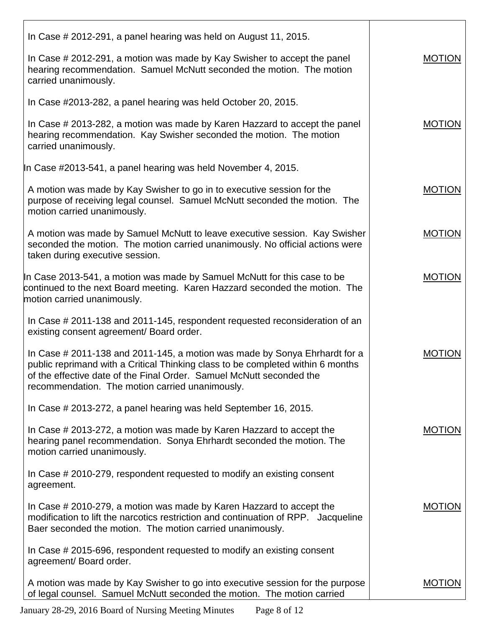| In Case # 2012-291, a panel hearing was held on August 11, 2015.                                                                                                                                                                                                                         |               |
|------------------------------------------------------------------------------------------------------------------------------------------------------------------------------------------------------------------------------------------------------------------------------------------|---------------|
| In Case # 2012-291, a motion was made by Kay Swisher to accept the panel<br>hearing recommendation. Samuel McNutt seconded the motion. The motion<br>carried unanimously.                                                                                                                | <b>MOTION</b> |
| In Case #2013-282, a panel hearing was held October 20, 2015.                                                                                                                                                                                                                            |               |
| In Case # 2013-282, a motion was made by Karen Hazzard to accept the panel<br>hearing recommendation. Kay Swisher seconded the motion. The motion<br>carried unanimously.                                                                                                                | <b>MOTION</b> |
| In Case #2013-541, a panel hearing was held November 4, 2015.                                                                                                                                                                                                                            |               |
| A motion was made by Kay Swisher to go in to executive session for the<br>purpose of receiving legal counsel. Samuel McNutt seconded the motion. The<br>motion carried unanimously.                                                                                                      | <b>MOTION</b> |
| A motion was made by Samuel McNutt to leave executive session. Kay Swisher<br>seconded the motion. The motion carried unanimously. No official actions were<br>taken during executive session.                                                                                           | <b>MOTION</b> |
| In Case 2013-541, a motion was made by Samuel McNutt for this case to be<br>continued to the next Board meeting. Karen Hazzard seconded the motion. The<br>motion carried unanimously.                                                                                                   | <b>MOTION</b> |
| In Case # 2011-138 and 2011-145, respondent requested reconsideration of an<br>existing consent agreement/ Board order.                                                                                                                                                                  |               |
| In Case # 2011-138 and 2011-145, a motion was made by Sonya Ehrhardt for a<br>public reprimand with a Critical Thinking class to be completed within 6 months<br>of the effective date of the Final Order. Samuel McNutt seconded the<br>recommendation. The motion carried unanimously. | <b>MOTION</b> |
| In Case # 2013-272, a panel hearing was held September 16, 2015.                                                                                                                                                                                                                         |               |
| In Case # 2013-272, a motion was made by Karen Hazzard to accept the<br>hearing panel recommendation. Sonya Ehrhardt seconded the motion. The<br>motion carried unanimously.                                                                                                             | <b>MOTION</b> |
| In Case # 2010-279, respondent requested to modify an existing consent<br>agreement.                                                                                                                                                                                                     |               |
| In Case # 2010-279, a motion was made by Karen Hazzard to accept the<br>modification to lift the narcotics restriction and continuation of RPP. Jacqueline<br>Baer seconded the motion. The motion carried unanimously.                                                                  | <b>MOTION</b> |
| In Case # 2015-696, respondent requested to modify an existing consent<br>agreement/ Board order.                                                                                                                                                                                        |               |
| A motion was made by Kay Swisher to go into executive session for the purpose<br>of legal counsel. Samuel McNutt seconded the motion. The motion carried                                                                                                                                 | <b>MOTION</b> |

January 28-29, 2016 Board of Nursing Meeting Minutes Page 8 of 12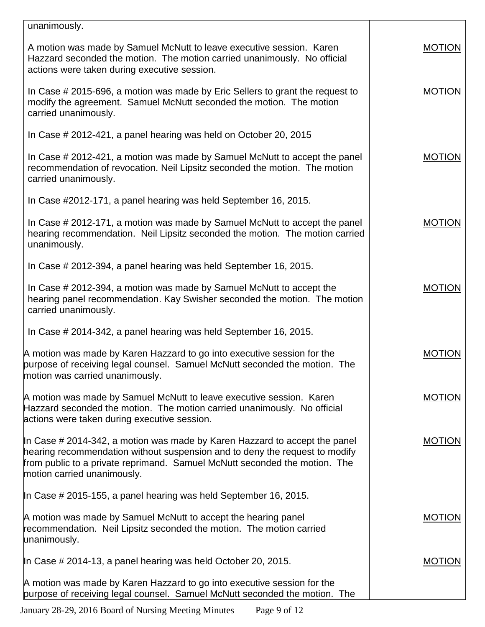| unanimously.                                                                                                                                                                                                                                                           |               |
|------------------------------------------------------------------------------------------------------------------------------------------------------------------------------------------------------------------------------------------------------------------------|---------------|
| A motion was made by Samuel McNutt to leave executive session. Karen<br>Hazzard seconded the motion. The motion carried unanimously. No official<br>actions were taken during executive session.                                                                       | <b>MOTION</b> |
| In Case # 2015-696, a motion was made by Eric Sellers to grant the request to<br>modify the agreement. Samuel McNutt seconded the motion. The motion<br>carried unanimously.                                                                                           | <b>MOTION</b> |
| In Case # 2012-421, a panel hearing was held on October 20, 2015                                                                                                                                                                                                       |               |
| In Case # 2012-421, a motion was made by Samuel McNutt to accept the panel<br>recommendation of revocation. Neil Lipsitz seconded the motion. The motion<br>carried unanimously.                                                                                       | <b>MOTION</b> |
| In Case #2012-171, a panel hearing was held September 16, 2015.                                                                                                                                                                                                        |               |
| In Case # 2012-171, a motion was made by Samuel McNutt to accept the panel<br>hearing recommendation. Neil Lipsitz seconded the motion. The motion carried<br>unanimously.                                                                                             | <b>MOTION</b> |
| In Case # 2012-394, a panel hearing was held September 16, 2015.                                                                                                                                                                                                       |               |
| In Case # 2012-394, a motion was made by Samuel McNutt to accept the<br>hearing panel recommendation. Kay Swisher seconded the motion. The motion<br>carried unanimously.                                                                                              | <b>MOTION</b> |
| In Case # 2014-342, a panel hearing was held September 16, 2015.                                                                                                                                                                                                       |               |
| A motion was made by Karen Hazzard to go into executive session for the<br>purpose of receiving legal counsel. Samuel McNutt seconded the motion. The<br>motion was carried unanimously.                                                                               | <b>MOTION</b> |
| A motion was made by Samuel McNutt to leave executive session. Karen<br>Hazzard seconded the motion. The motion carried unanimously. No official<br>actions were taken during executive session.                                                                       | <b>MOTION</b> |
| In Case # 2014-342, a motion was made by Karen Hazzard to accept the panel<br>hearing recommendation without suspension and to deny the request to modify<br>from public to a private reprimand. Samuel McNutt seconded the motion. The<br>motion carried unanimously. | <b>MOTION</b> |
| In Case # 2015-155, a panel hearing was held September 16, 2015.                                                                                                                                                                                                       |               |
| A motion was made by Samuel McNutt to accept the hearing panel<br>recommendation. Neil Lipsitz seconded the motion. The motion carried<br>unanimously.                                                                                                                 | <b>MOTION</b> |
| In Case $\#$ 2014-13, a panel hearing was held October 20, 2015.                                                                                                                                                                                                       | <b>MOTION</b> |
| A motion was made by Karen Hazzard to go into executive session for the<br>purpose of receiving legal counsel. Samuel McNutt seconded the motion. The                                                                                                                  |               |

January 28-29, 2016 Board of Nursing Meeting Minutes Page 9 of 12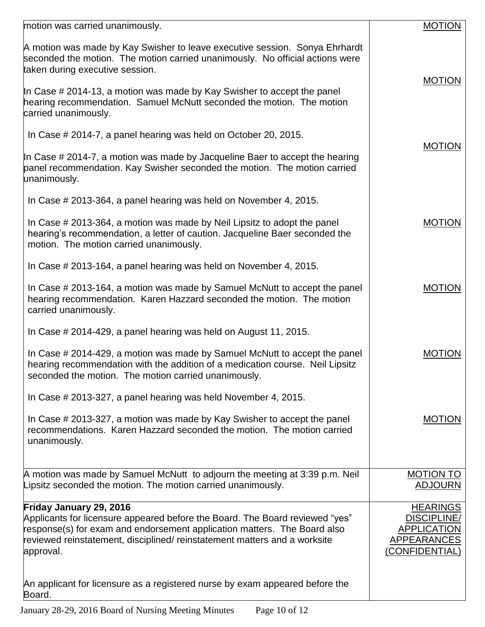| motion was carried unanimously.                                                                                                                                                                                                                                               | <b>MOTION</b>                                                                                |
|-------------------------------------------------------------------------------------------------------------------------------------------------------------------------------------------------------------------------------------------------------------------------------|----------------------------------------------------------------------------------------------|
| A motion was made by Kay Swisher to leave executive session. Sonya Ehrhardt<br>seconded the motion. The motion carried unanimously. No official actions were<br>taken during executive session.                                                                               | <b>MOTION</b>                                                                                |
| In Case # 2014-13, a motion was made by Kay Swisher to accept the panel<br>hearing recommendation. Samuel McNutt seconded the motion. The motion<br>carried unanimously.                                                                                                      |                                                                                              |
| In Case # 2014-7, a panel hearing was held on October 20, 2015.                                                                                                                                                                                                               | <b>MOTION</b>                                                                                |
| In Case # 2014-7, a motion was made by Jacqueline Baer to accept the hearing<br>panel recommendation. Kay Swisher seconded the motion. The motion carried<br>unanimously.                                                                                                     |                                                                                              |
| In Case # 2013-364, a panel hearing was held on November 4, 2015.                                                                                                                                                                                                             |                                                                                              |
| In Case # 2013-364, a motion was made by Neil Lipsitz to adopt the panel<br>hearing's recommendation, a letter of caution. Jacqueline Baer seconded the<br>motion. The motion carried unanimously.                                                                            | <b>MOTION</b>                                                                                |
| In Case # 2013-164, a panel hearing was held on November 4, 2015.                                                                                                                                                                                                             |                                                                                              |
| In Case # 2013-164, a motion was made by Samuel McNutt to accept the panel<br>hearing recommendation. Karen Hazzard seconded the motion. The motion<br>carried unanimously.                                                                                                   | <b>MOTION</b>                                                                                |
| In Case # 2014-429, a panel hearing was held on August 11, 2015.                                                                                                                                                                                                              |                                                                                              |
| In Case # 2014-429, a motion was made by Samuel McNutt to accept the panel<br>hearing recommendation with the addition of a medication course. Neil Lipsitz<br>seconded the motion. The motion carried unanimously.                                                           | <b>MOTION</b>                                                                                |
| In Case # 2013-327, a panel hearing was held November 4, 2015.                                                                                                                                                                                                                |                                                                                              |
| In Case # 2013-327, a motion was made by Kay Swisher to accept the panel<br>recommendations. Karen Hazzard seconded the motion. The motion carried<br>unanimously.                                                                                                            | <b>MOTION</b>                                                                                |
| A motion was made by Samuel McNutt to adjourn the meeting at 3:39 p.m. Neil<br>Lipsitz seconded the motion. The motion carried unanimously.                                                                                                                                   | <b>MOTION TO</b><br><b>ADJOURN</b>                                                           |
| Friday January 29, 2016<br>Applicants for licensure appeared before the Board. The Board reviewed "yes"<br>response(s) for exam and endorsement application matters. The Board also<br>reviewed reinstatement, disciplined/ reinstatement matters and a worksite<br>approval. | <b>HEARINGS</b><br><b>DISCIPLINE/</b><br><b>APPLICATION</b><br>APPEARANCES<br>(CONFIDENTIAL) |
| An applicant for licensure as a registered nurse by exam appeared before the<br>Board.                                                                                                                                                                                        |                                                                                              |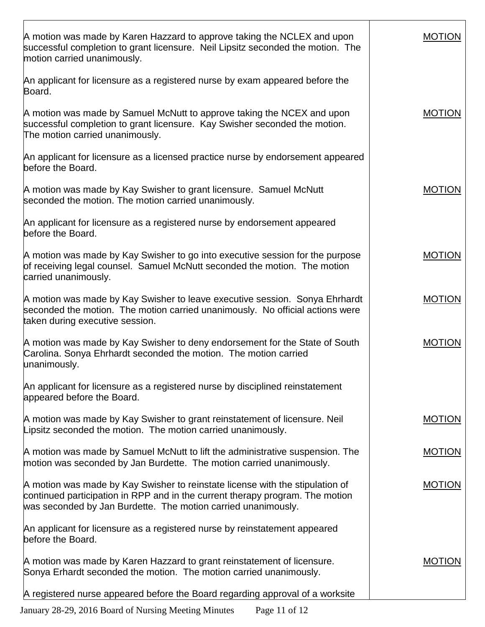| A motion was made by Karen Hazzard to approve taking the NCLEX and upon<br>successful completion to grant licensure. Neil Lipsitz seconded the motion. The<br>motion carried unanimously.                                       | <b>MOTION</b> |
|---------------------------------------------------------------------------------------------------------------------------------------------------------------------------------------------------------------------------------|---------------|
| An applicant for licensure as a registered nurse by exam appeared before the<br>Board.                                                                                                                                          |               |
| A motion was made by Samuel McNutt to approve taking the NCEX and upon<br>successful completion to grant licensure. Kay Swisher seconded the motion.<br>The motion carried unanimously.                                         | <b>MOTION</b> |
| An applicant for licensure as a licensed practice nurse by endorsement appeared<br>before the Board.                                                                                                                            |               |
| A motion was made by Kay Swisher to grant licensure. Samuel McNutt<br>seconded the motion. The motion carried unanimously.                                                                                                      | <b>MOTION</b> |
| An applicant for licensure as a registered nurse by endorsement appeared<br>before the Board.                                                                                                                                   |               |
| A motion was made by Kay Swisher to go into executive session for the purpose<br>of receiving legal counsel. Samuel McNutt seconded the motion. The motion<br>carried unanimously.                                              | <b>MOTION</b> |
| A motion was made by Kay Swisher to leave executive session. Sonya Ehrhardt<br>seconded the motion. The motion carried unanimously. No official actions were<br>taken during executive session.                                 | <b>MOTION</b> |
| A motion was made by Kay Swisher to deny endorsement for the State of South<br>Carolina. Sonya Ehrhardt seconded the motion. The motion carried<br>unanimously.                                                                 | <b>MOTION</b> |
| An applicant for licensure as a registered nurse by disciplined reinstatement<br>appeared before the Board.                                                                                                                     |               |
| A motion was made by Kay Swisher to grant reinstatement of licensure. Neil<br>Lipsitz seconded the motion. The motion carried unanimously.                                                                                      | <b>MOTION</b> |
| A motion was made by Samuel McNutt to lift the administrative suspension. The<br>motion was seconded by Jan Burdette. The motion carried unanimously.                                                                           | <b>MOTION</b> |
| A motion was made by Kay Swisher to reinstate license with the stipulation of<br>continued participation in RPP and in the current therapy program. The motion<br>was seconded by Jan Burdette. The motion carried unanimously. | <b>MOTION</b> |
| An applicant for licensure as a registered nurse by reinstatement appeared<br>before the Board.                                                                                                                                 |               |
| A motion was made by Karen Hazzard to grant reinstatement of licensure.<br>Sonya Erhardt seconded the motion. The motion carried unanimously.                                                                                   | <b>MOTION</b> |
| A registered nurse appeared before the Board regarding approval of a worksite                                                                                                                                                   |               |